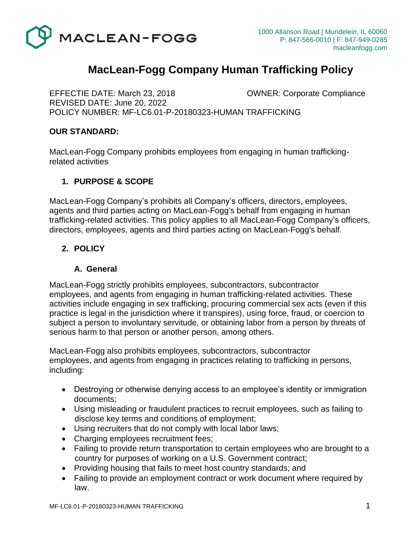

# **MacLean-Fogg Company Human Trafficking Policy**

EFFECTIE DATE: March 23, 2018 OWNER: Corporate Compliance REVISED DATE: June 20, 2022 POLICY NUMBER: MF-LC6.01-P-20180323-HUMAN TRAFFICKING

# **OUR STANDARD:**

MacLean-Fogg Company prohibits employees from engaging in human traffickingrelated activities

# **1. PURPOSE & SCOPE**

MacLean-Fogg Company's prohibits all Company's officers, directors, employees, agents and third parties acting on MacLean-Fogg's behalf from engaging in human trafficking-related activities. This policy applies to all MacLean-Fogg Company's officers, directors, employees, agents and third parties acting on MacLean-Fogg's behalf.

# **2. POLICY**

#### **A. General**

MacLean-Fogg strictly prohibits employees, subcontractors, subcontractor employees, and agents from engaging in human trafficking-related activities. These activities include engaging in sex trafficking, procuring commercial sex acts (even if this practice is legal in the jurisdiction where it transpires), using force, fraud, or coercion to subject a person to involuntary servitude, or obtaining labor from a person by threats of serious harm to that person or another person, among others.

MacLean-Fogg also prohibits employees, subcontractors, subcontractor employees, and agents from engaging in practices relating to trafficking in persons, including:

- Destroying or otherwise denying access to an employee's identity or immigration documents;
- Using misleading or fraudulent practices to recruit employees, such as failing to disclose key terms and conditions of employment;
- Using recruiters that do not comply with local labor laws;
- Charging employees recruitment fees;
- Failing to provide return transportation to certain employees who are brought to a country for purposes of working on a U.S. Government contract;
- Providing housing that fails to meet host country standards; and
- Failing to provide an employment contract or work document where required by law.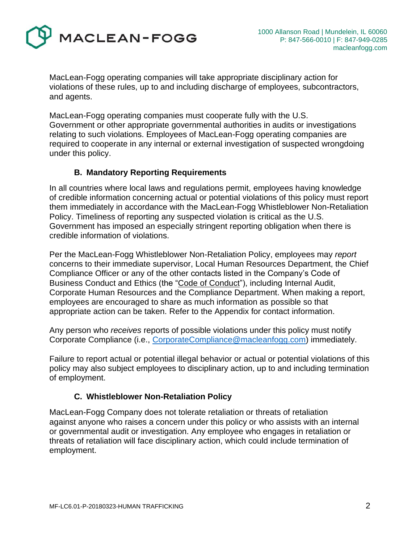

MacLean-Fogg operating companies will take appropriate disciplinary action for violations of these rules, up to and including discharge of employees, subcontractors, and agents.

MacLean-Fogg operating companies must cooperate fully with the U.S. Government or other appropriate governmental authorities in audits or investigations relating to such violations. Employees of MacLean-Fogg operating companies are required to cooperate in any internal or external investigation of suspected wrongdoing under this policy.

# **B. Mandatory Reporting Requirements**

In all countries where local laws and regulations permit, employees having knowledge of credible information concerning actual or potential violations of this policy must report them immediately in accordance with the MacLean-Fogg Whistleblower Non-Retaliation Policy. Timeliness of reporting any suspected violation is critical as the U.S. Government has imposed an especially stringent reporting obligation when there is credible information of violations.

Per the MacLean-Fogg Whistleblower Non-Retaliation Policy, employees may *report* concerns to their immediate supervisor, Local Human Resources Department, the Chief Compliance Officer or any of the other contacts listed in the Company's Code of Business Conduct and Ethics (the "Code of Conduct"), including Internal Audit, Corporate Human Resources and the Compliance Department. When making a report, employees are encouraged to share as much information as possible so that appropriate action can be taken. Refer to the Appendix for contact information.

Any person who *receives* reports of possible violations under this policy must notify Corporate Compliance (i.e., [CorporateCompliance@macleanfogg.com\)](mailto:CorporateCompliance@macleanfogg.com) immediately.

Failure to report actual or potential illegal behavior or actual or potential violations of this policy may also subject employees to disciplinary action, up to and including termination of employment.

#### **C. Whistleblower Non-Retaliation Policy**

MacLean-Fogg Company does not tolerate retaliation or threats of retaliation against anyone who raises a concern under this policy or who assists with an internal or governmental audit or investigation. Any employee who engages in retaliation or threats of retaliation will face disciplinary action, which could include termination of employment.